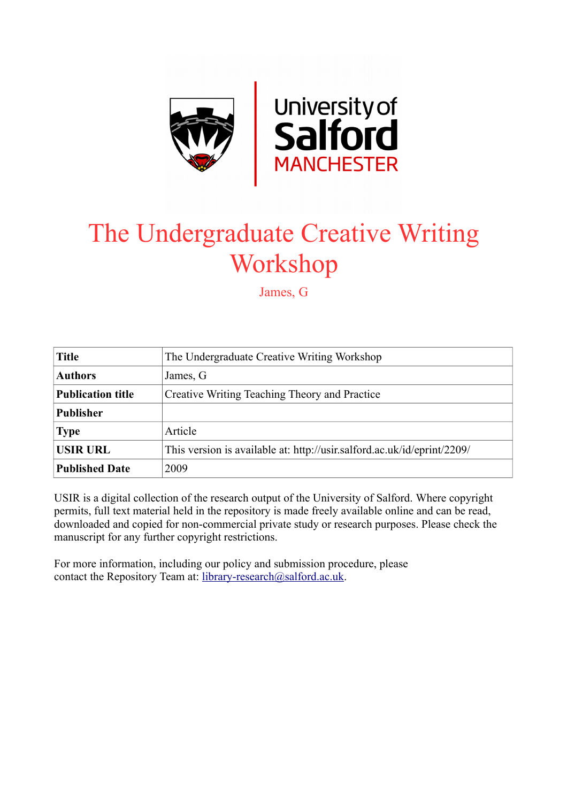

# The Undergraduate Creative Writing Workshop

James, G

| <b>Title</b>             | The Undergraduate Creative Writing Workshop                             |
|--------------------------|-------------------------------------------------------------------------|
| <b>Authors</b>           | James, G                                                                |
| <b>Publication title</b> | Creative Writing Teaching Theory and Practice                           |
| <b>Publisher</b>         |                                                                         |
| <b>Type</b>              | Article                                                                 |
| <b>USIR URL</b>          | This version is available at: http://usir.salford.ac.uk/id/eprint/2209/ |
| <b>Published Date</b>    | 2009                                                                    |

USIR is a digital collection of the research output of the University of Salford. Where copyright permits, full text material held in the repository is made freely available online and can be read, downloaded and copied for non-commercial private study or research purposes. Please check the manuscript for any further copyright restrictions.

For more information, including our policy and submission procedure, please contact the Repository Team at: [library-research@salford.ac.uk.](mailto:library-research@salford.ac.uk)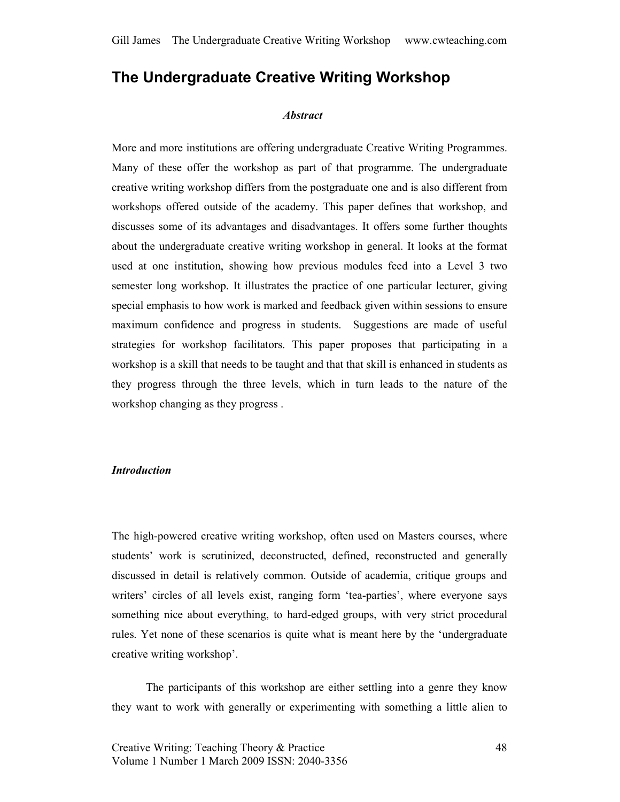# The Undergraduate Creative Writing Workshop

#### **Abstract**

More and more institutions are offering undergraduate Creative Writing Programmes. Many of these offer the workshop as part of that programme. The undergraduate creative writing workshop differs from the postgraduate one and is also different from workshops offered outside of the academy. This paper defines that workshop, and discusses some of its advantages and disadvantages. It offers some further thoughts about the undergraduate creative writing workshop in general. It looks at the format used at one institution, showing how previous modules feed into a Level 3 two semester long workshop. It illustrates the practice of one particular lecturer, giving special emphasis to how work is marked and feedback given within sessions to ensure maximum confidence and progress in students. Suggestions are made of useful strategies for workshop facilitators. This paper proposes that participating in a workshop is a skill that needs to be taught and that that skill is enhanced in students as they progress through the three levels, which in turn leads to the nature of the workshop changing as they progress .

#### Introduction

The high-powered creative writing workshop, often used on Masters courses, where students' work is scrutinized, deconstructed, defined, reconstructed and generally discussed in detail is relatively common. Outside of academia, critique groups and writers' circles of all levels exist, ranging form 'tea-parties', where everyone says something nice about everything, to hard-edged groups, with very strict procedural rules. Yet none of these scenarios is quite what is meant here by the 'undergraduate creative writing workshop'.

The participants of this workshop are either settling into a genre they know they want to work with generally or experimenting with something a little alien to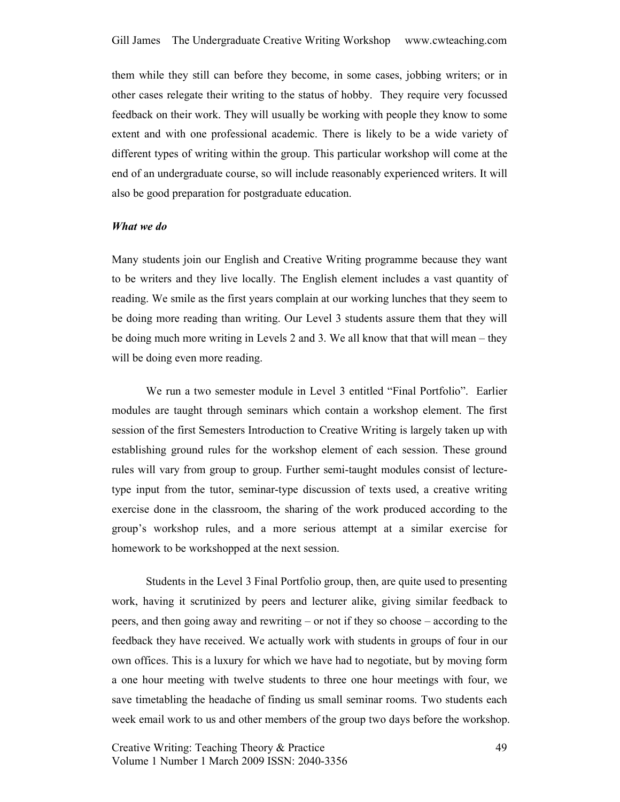them while they still can before they become, in some cases, jobbing writers; or in other cases relegate their writing to the status of hobby. They require very focussed feedback on their work. They will usually be working with people they know to some extent and with one professional academic. There is likely to be a wide variety of different types of writing within the group. This particular workshop will come at the end of an undergraduate course, so will include reasonably experienced writers. It will also be good preparation for postgraduate education.

#### What we do

Many students join our English and Creative Writing programme because they want to be writers and they live locally. The English element includes a vast quantity of reading. We smile as the first years complain at our working lunches that they seem to be doing more reading than writing. Our Level 3 students assure them that they will be doing much more writing in Levels 2 and 3. We all know that that will mean – they will be doing even more reading.

We run a two semester module in Level 3 entitled "Final Portfolio". Earlier modules are taught through seminars which contain a workshop element. The first session of the first Semesters Introduction to Creative Writing is largely taken up with establishing ground rules for the workshop element of each session. These ground rules will vary from group to group. Further semi-taught modules consist of lecturetype input from the tutor, seminar-type discussion of texts used, a creative writing exercise done in the classroom, the sharing of the work produced according to the group's workshop rules, and a more serious attempt at a similar exercise for homework to be workshopped at the next session.

Students in the Level 3 Final Portfolio group, then, are quite used to presenting work, having it scrutinized by peers and lecturer alike, giving similar feedback to peers, and then going away and rewriting – or not if they so choose – according to the feedback they have received. We actually work with students in groups of four in our own offices. This is a luxury for which we have had to negotiate, but by moving form a one hour meeting with twelve students to three one hour meetings with four, we save timetabling the headache of finding us small seminar rooms. Two students each week email work to us and other members of the group two days before the workshop.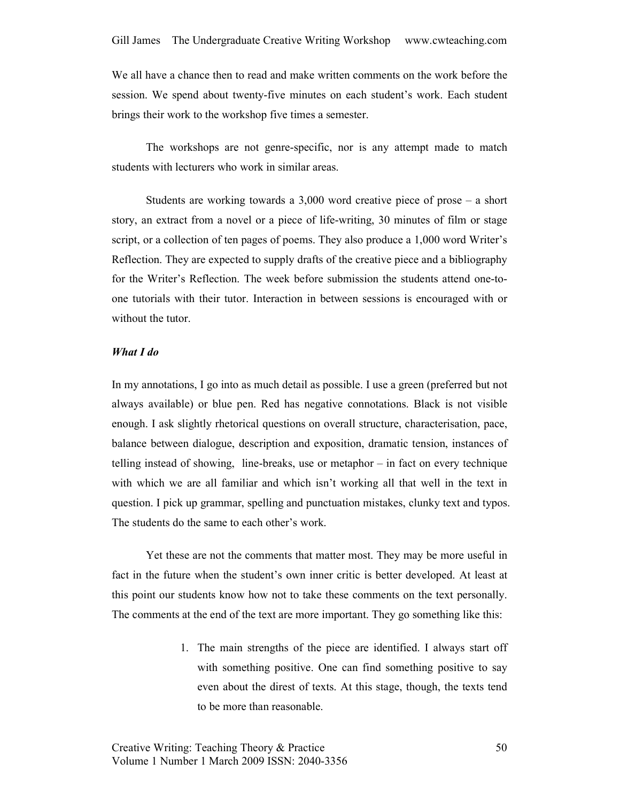We all have a chance then to read and make written comments on the work before the session. We spend about twenty-five minutes on each student's work. Each student brings their work to the workshop five times a semester.

The workshops are not genre-specific, nor is any attempt made to match students with lecturers who work in similar areas.

Students are working towards a 3,000 word creative piece of prose – a short story, an extract from a novel or a piece of life-writing, 30 minutes of film or stage script, or a collection of ten pages of poems. They also produce a 1,000 word Writer's Reflection. They are expected to supply drafts of the creative piece and a bibliography for the Writer's Reflection. The week before submission the students attend one-toone tutorials with their tutor. Interaction in between sessions is encouraged with or without the tutor.

# What I do

In my annotations, I go into as much detail as possible. I use a green (preferred but not always available) or blue pen. Red has negative connotations. Black is not visible enough. I ask slightly rhetorical questions on overall structure, characterisation, pace, balance between dialogue, description and exposition, dramatic tension, instances of telling instead of showing, line-breaks, use or metaphor – in fact on every technique with which we are all familiar and which isn't working all that well in the text in question. I pick up grammar, spelling and punctuation mistakes, clunky text and typos. The students do the same to each other's work.

Yet these are not the comments that matter most. They may be more useful in fact in the future when the student's own inner critic is better developed. At least at this point our students know how not to take these comments on the text personally. The comments at the end of the text are more important. They go something like this:

> 1. The main strengths of the piece are identified. I always start off with something positive. One can find something positive to say even about the direst of texts. At this stage, though, the texts tend to be more than reasonable.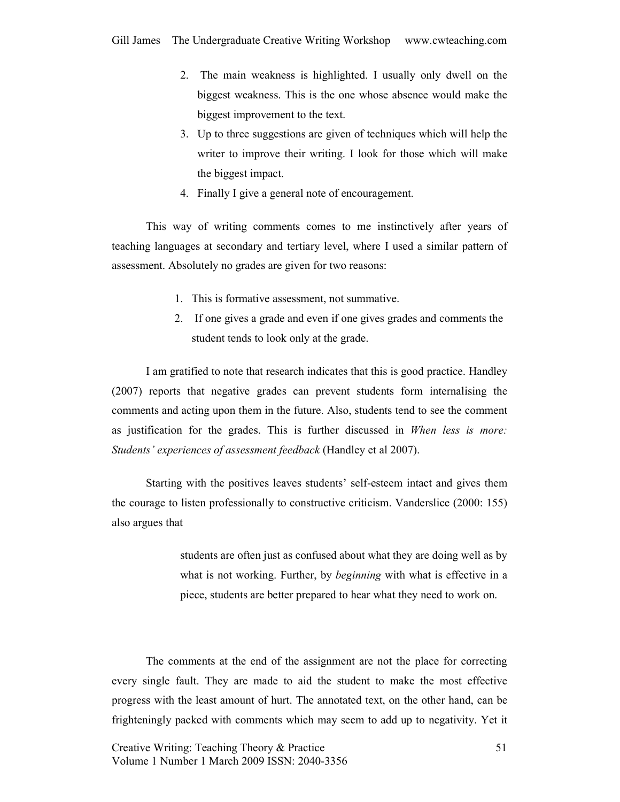- 2. The main weakness is highlighted. I usually only dwell on the biggest weakness. This is the one whose absence would make the biggest improvement to the text.
- 3. Up to three suggestions are given of techniques which will help the writer to improve their writing. I look for those which will make the biggest impact.
- 4. Finally I give a general note of encouragement.

This way of writing comments comes to me instinctively after years of teaching languages at secondary and tertiary level, where I used a similar pattern of assessment. Absolutely no grades are given for two reasons:

- 1. This is formative assessment, not summative.
- 2. If one gives a grade and even if one gives grades and comments the student tends to look only at the grade.

I am gratified to note that research indicates that this is good practice. Handley (2007) reports that negative grades can prevent students form internalising the comments and acting upon them in the future. Also, students tend to see the comment as justification for the grades. This is further discussed in When less is more: Students' experiences of assessment feedback (Handley et al 2007).

Starting with the positives leaves students' self-esteem intact and gives them the courage to listen professionally to constructive criticism. Vanderslice (2000: 155) also argues that

> students are often just as confused about what they are doing well as by what is not working. Further, by *beginning* with what is effective in a piece, students are better prepared to hear what they need to work on.

The comments at the end of the assignment are not the place for correcting every single fault. They are made to aid the student to make the most effective progress with the least amount of hurt. The annotated text, on the other hand, can be frighteningly packed with comments which may seem to add up to negativity. Yet it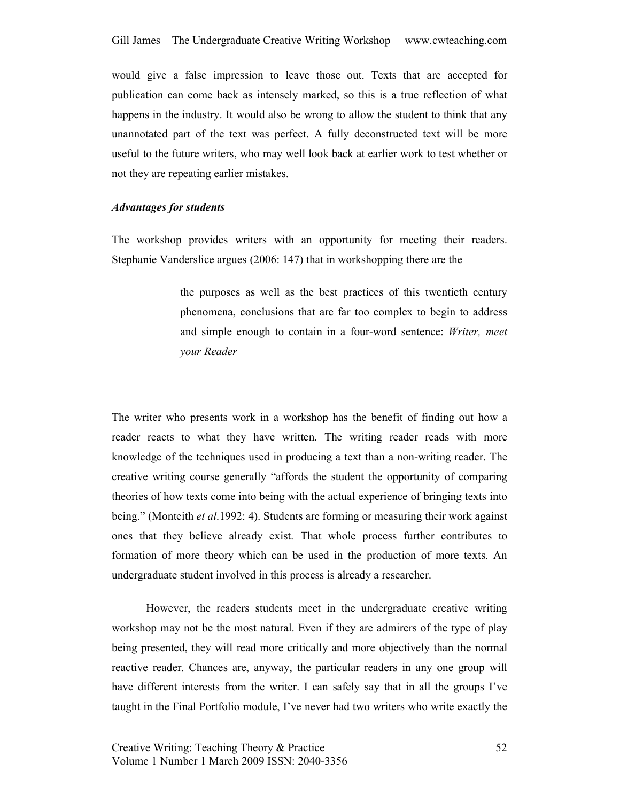would give a false impression to leave those out. Texts that are accepted for publication can come back as intensely marked, so this is a true reflection of what happens in the industry. It would also be wrong to allow the student to think that any unannotated part of the text was perfect. A fully deconstructed text will be more useful to the future writers, who may well look back at earlier work to test whether or not they are repeating earlier mistakes.

# Advantages for students

The workshop provides writers with an opportunity for meeting their readers. Stephanie Vanderslice argues (2006: 147) that in workshopping there are the

> the purposes as well as the best practices of this twentieth century phenomena, conclusions that are far too complex to begin to address and simple enough to contain in a four-word sentence: Writer, meet your Reader

The writer who presents work in a workshop has the benefit of finding out how a reader reacts to what they have written. The writing reader reads with more knowledge of the techniques used in producing a text than a non-writing reader. The creative writing course generally "affords the student the opportunity of comparing theories of how texts come into being with the actual experience of bringing texts into being." (Monteith *et al.* 1992: 4). Students are forming or measuring their work against ones that they believe already exist. That whole process further contributes to formation of more theory which can be used in the production of more texts. An undergraduate student involved in this process is already a researcher.

However, the readers students meet in the undergraduate creative writing workshop may not be the most natural. Even if they are admirers of the type of play being presented, they will read more critically and more objectively than the normal reactive reader. Chances are, anyway, the particular readers in any one group will have different interests from the writer. I can safely say that in all the groups I've taught in the Final Portfolio module, I've never had two writers who write exactly the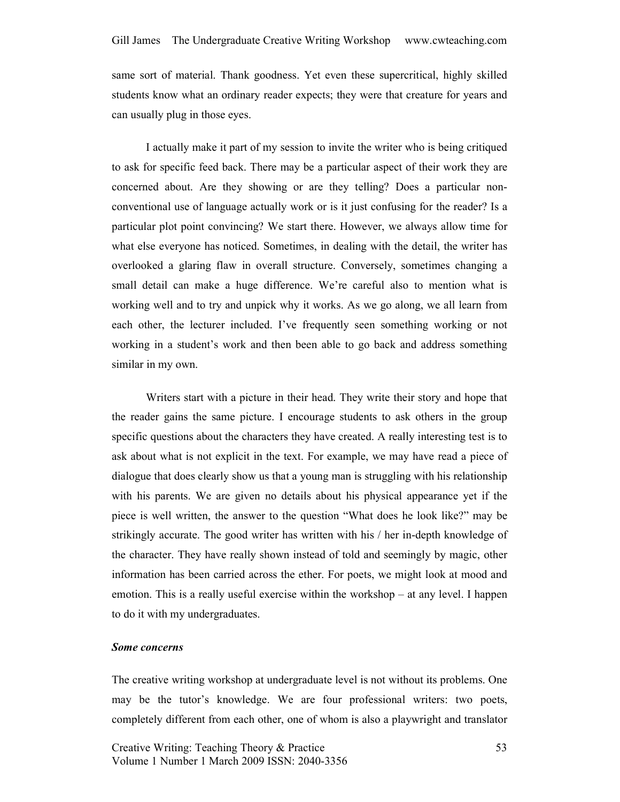same sort of material. Thank goodness. Yet even these supercritical, highly skilled students know what an ordinary reader expects; they were that creature for years and can usually plug in those eyes.

I actually make it part of my session to invite the writer who is being critiqued to ask for specific feed back. There may be a particular aspect of their work they are concerned about. Are they showing or are they telling? Does a particular nonconventional use of language actually work or is it just confusing for the reader? Is a particular plot point convincing? We start there. However, we always allow time for what else everyone has noticed. Sometimes, in dealing with the detail, the writer has overlooked a glaring flaw in overall structure. Conversely, sometimes changing a small detail can make a huge difference. We're careful also to mention what is working well and to try and unpick why it works. As we go along, we all learn from each other, the lecturer included. I've frequently seen something working or not working in a student's work and then been able to go back and address something similar in my own.

Writers start with a picture in their head. They write their story and hope that the reader gains the same picture. I encourage students to ask others in the group specific questions about the characters they have created. A really interesting test is to ask about what is not explicit in the text. For example, we may have read a piece of dialogue that does clearly show us that a young man is struggling with his relationship with his parents. We are given no details about his physical appearance yet if the piece is well written, the answer to the question "What does he look like?" may be strikingly accurate. The good writer has written with his / her in-depth knowledge of the character. They have really shown instead of told and seemingly by magic, other information has been carried across the ether. For poets, we might look at mood and emotion. This is a really useful exercise within the workshop – at any level. I happen to do it with my undergraduates.

## Some concerns

The creative writing workshop at undergraduate level is not without its problems. One may be the tutor's knowledge. We are four professional writers: two poets, completely different from each other, one of whom is also a playwright and translator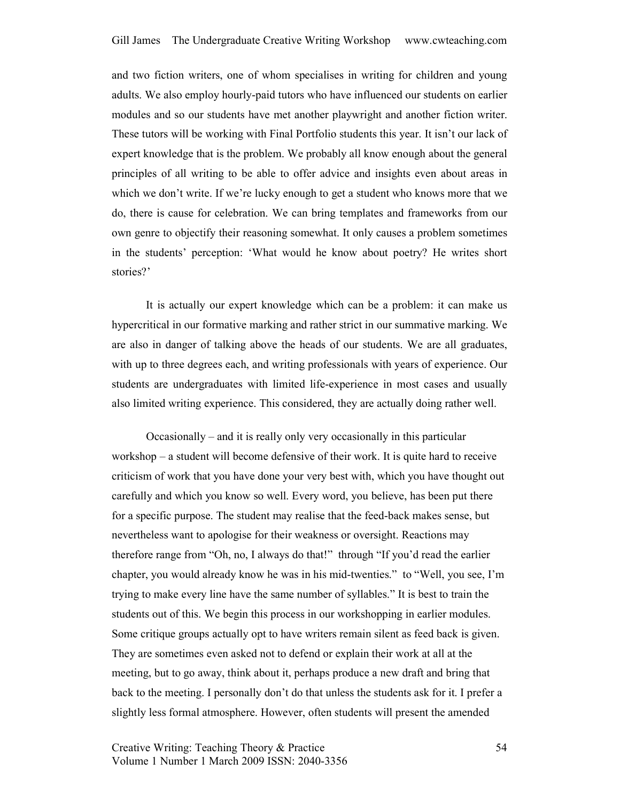and two fiction writers, one of whom specialises in writing for children and young adults. We also employ hourly-paid tutors who have influenced our students on earlier modules and so our students have met another playwright and another fiction writer. These tutors will be working with Final Portfolio students this year. It isn't our lack of expert knowledge that is the problem. We probably all know enough about the general principles of all writing to be able to offer advice and insights even about areas in which we don't write. If we're lucky enough to get a student who knows more that we do, there is cause for celebration. We can bring templates and frameworks from our own genre to objectify their reasoning somewhat. It only causes a problem sometimes in the students' perception: 'What would he know about poetry? He writes short stories?'

It is actually our expert knowledge which can be a problem: it can make us hypercritical in our formative marking and rather strict in our summative marking. We are also in danger of talking above the heads of our students. We are all graduates, with up to three degrees each, and writing professionals with years of experience. Our students are undergraduates with limited life-experience in most cases and usually also limited writing experience. This considered, they are actually doing rather well.

 Occasionally – and it is really only very occasionally in this particular workshop – a student will become defensive of their work. It is quite hard to receive criticism of work that you have done your very best with, which you have thought out carefully and which you know so well. Every word, you believe, has been put there for a specific purpose. The student may realise that the feed-back makes sense, but nevertheless want to apologise for their weakness or oversight. Reactions may therefore range from "Oh, no, I always do that!" through "If you'd read the earlier chapter, you would already know he was in his mid-twenties." to "Well, you see, I'm trying to make every line have the same number of syllables." It is best to train the students out of this. We begin this process in our workshopping in earlier modules. Some critique groups actually opt to have writers remain silent as feed back is given. They are sometimes even asked not to defend or explain their work at all at the meeting, but to go away, think about it, perhaps produce a new draft and bring that back to the meeting. I personally don't do that unless the students ask for it. I prefer a slightly less formal atmosphere. However, often students will present the amended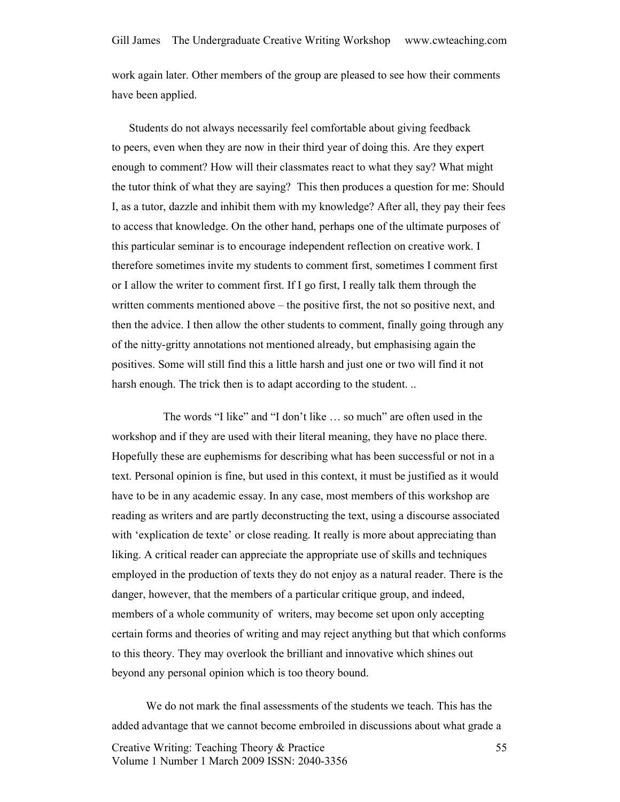work again later. Other members of the group are pleased to see how their comments have been applied.

 Students do not always necessarily feel comfortable about giving feedback to peers, even when they are now in their third year of doing this. Are they expert enough to comment? How will their classmates react to what they say? What might the tutor think of what they are saying? This then produces a question for me: Should I, as a tutor, dazzle and inhibit them with my knowledge? After all, they pay their fees to access that knowledge. On the other hand, perhaps one of the ultimate purposes of this particular seminar is to encourage independent reflection on creative work. I therefore sometimes invite my students to comment first, sometimes I comment first or I allow the writer to comment first. If I go first, I really talk them through the written comments mentioned above – the positive first, the not so positive next, and then the advice. I then allow the other students to comment, finally going through any of the nitty-gritty annotations not mentioned already, but emphasising again the positives. Some will still find this a little harsh and just one or two will find it not harsh enough. The trick then is to adapt according to the student. ..

 The words "I like" and "I don't like … so much" are often used in the workshop and if they are used with their literal meaning, they have no place there. Hopefully these are euphemisms for describing what has been successful or not in a text. Personal opinion is fine, but used in this context, it must be justified as it would have to be in any academic essay. In any case, most members of this workshop are reading as writers and are partly deconstructing the text, using a discourse associated with 'explication de texte' or close reading. It really is more about appreciating than liking. A critical reader can appreciate the appropriate use of skills and techniques employed in the production of texts they do not enjoy as a natural reader. There is the danger, however, that the members of a particular critique group, and indeed, members of a whole community of writers, may become set upon only accepting certain forms and theories of writing and may reject anything but that which conforms to this theory. They may overlook the brilliant and innovative which shines out beyond any personal opinion which is too theory bound.

We do not mark the final assessments of the students we teach. This has the added advantage that we cannot become embroiled in discussions about what grade a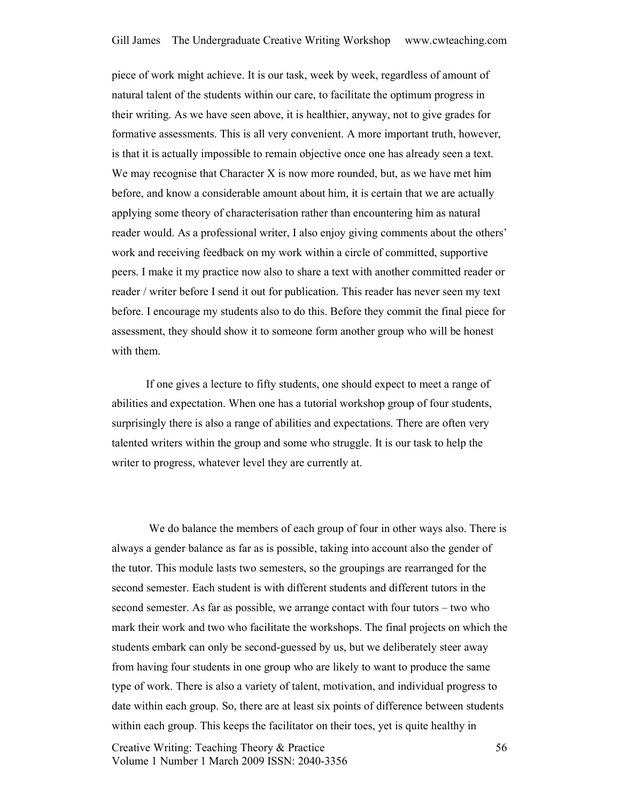piece of work might achieve. It is our task, week by week, regardless of amount of natural talent of the students within our care, to facilitate the optimum progress in their writing. As we have seen above, it is healthier, anyway, not to give grades for formative assessments. This is all very convenient. A more important truth, however, is that it is actually impossible to remain objective once one has already seen a text. We may recognise that Character  $X$  is now more rounded, but, as we have met him before, and know a considerable amount about him, it is certain that we are actually applying some theory of characterisation rather than encountering him as natural reader would. As a professional writer, I also enjoy giving comments about the others' work and receiving feedback on my work within a circle of committed, supportive peers. I make it my practice now also to share a text with another committed reader or reader / writer before I send it out for publication. This reader has never seen my text before. I encourage my students also to do this. Before they commit the final piece for assessment, they should show it to someone form another group who will be honest with them.

If one gives a lecture to fifty students, one should expect to meet a range of abilities and expectation. When one has a tutorial workshop group of four students, surprisingly there is also a range of abilities and expectations. There are often very talented writers within the group and some who struggle. It is our task to help the writer to progress, whatever level they are currently at.

 We do balance the members of each group of four in other ways also. There is always a gender balance as far as is possible, taking into account also the gender of the tutor. This module lasts two semesters, so the groupings are rearranged for the second semester. Each student is with different students and different tutors in the second semester. As far as possible, we arrange contact with four tutors – two who mark their work and two who facilitate the workshops. The final projects on which the students embark can only be second-guessed by us, but we deliberately steer away from having four students in one group who are likely to want to produce the same type of work. There is also a variety of talent, motivation, and individual progress to date within each group. So, there are at least six points of difference between students within each group. This keeps the facilitator on their toes, yet is quite healthy in

Creative Writing: Teaching Theory & Practice Volume 1 Number 1 March 2009 ISSN: 2040-3356

56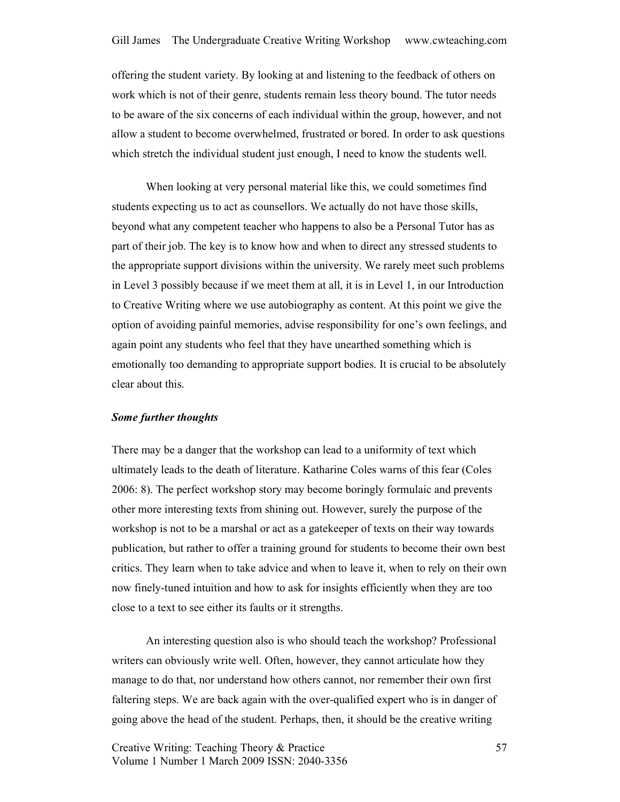offering the student variety. By looking at and listening to the feedback of others on work which is not of their genre, students remain less theory bound. The tutor needs to be aware of the six concerns of each individual within the group, however, and not allow a student to become overwhelmed, frustrated or bored. In order to ask questions which stretch the individual student just enough, I need to know the students well.

When looking at very personal material like this, we could sometimes find students expecting us to act as counsellors. We actually do not have those skills, beyond what any competent teacher who happens to also be a Personal Tutor has as part of their job. The key is to know how and when to direct any stressed students to the appropriate support divisions within the university. We rarely meet such problems in Level 3 possibly because if we meet them at all, it is in Level 1, in our Introduction to Creative Writing where we use autobiography as content. At this point we give the option of avoiding painful memories, advise responsibility for one's own feelings, and again point any students who feel that they have unearthed something which is emotionally too demanding to appropriate support bodies. It is crucial to be absolutely clear about this.

#### Some further thoughts

There may be a danger that the workshop can lead to a uniformity of text which ultimately leads to the death of literature. Katharine Coles warns of this fear (Coles 2006: 8). The perfect workshop story may become boringly formulaic and prevents other more interesting texts from shining out. However, surely the purpose of the workshop is not to be a marshal or act as a gatekeeper of texts on their way towards publication, but rather to offer a training ground for students to become their own best critics. They learn when to take advice and when to leave it, when to rely on their own now finely-tuned intuition and how to ask for insights efficiently when they are too close to a text to see either its faults or it strengths.

An interesting question also is who should teach the workshop? Professional writers can obviously write well. Often, however, they cannot articulate how they manage to do that, nor understand how others cannot, nor remember their own first faltering steps. We are back again with the over-qualified expert who is in danger of going above the head of the student. Perhaps, then, it should be the creative writing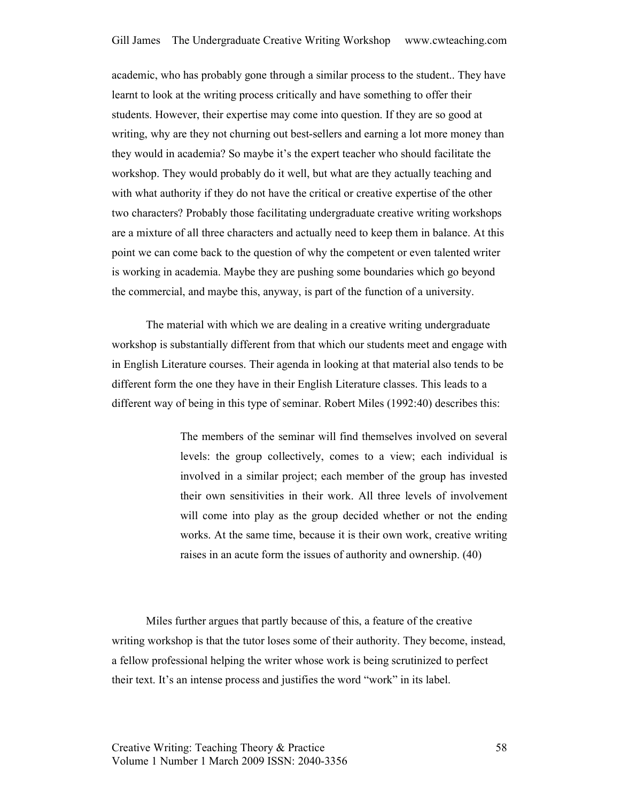academic, who has probably gone through a similar process to the student.. They have learnt to look at the writing process critically and have something to offer their students. However, their expertise may come into question. If they are so good at writing, why are they not churning out best-sellers and earning a lot more money than they would in academia? So maybe it's the expert teacher who should facilitate the workshop. They would probably do it well, but what are they actually teaching and with what authority if they do not have the critical or creative expertise of the other two characters? Probably those facilitating undergraduate creative writing workshops are a mixture of all three characters and actually need to keep them in balance. At this point we can come back to the question of why the competent or even talented writer is working in academia. Maybe they are pushing some boundaries which go beyond the commercial, and maybe this, anyway, is part of the function of a university.

The material with which we are dealing in a creative writing undergraduate workshop is substantially different from that which our students meet and engage with in English Literature courses. Their agenda in looking at that material also tends to be different form the one they have in their English Literature classes. This leads to a different way of being in this type of seminar. Robert Miles (1992:40) describes this:

> The members of the seminar will find themselves involved on several levels: the group collectively, comes to a view; each individual is involved in a similar project; each member of the group has invested their own sensitivities in their work. All three levels of involvement will come into play as the group decided whether or not the ending works. At the same time, because it is their own work, creative writing raises in an acute form the issues of authority and ownership. (40)

Miles further argues that partly because of this, a feature of the creative writing workshop is that the tutor loses some of their authority. They become, instead, a fellow professional helping the writer whose work is being scrutinized to perfect their text. It's an intense process and justifies the word "work" in its label.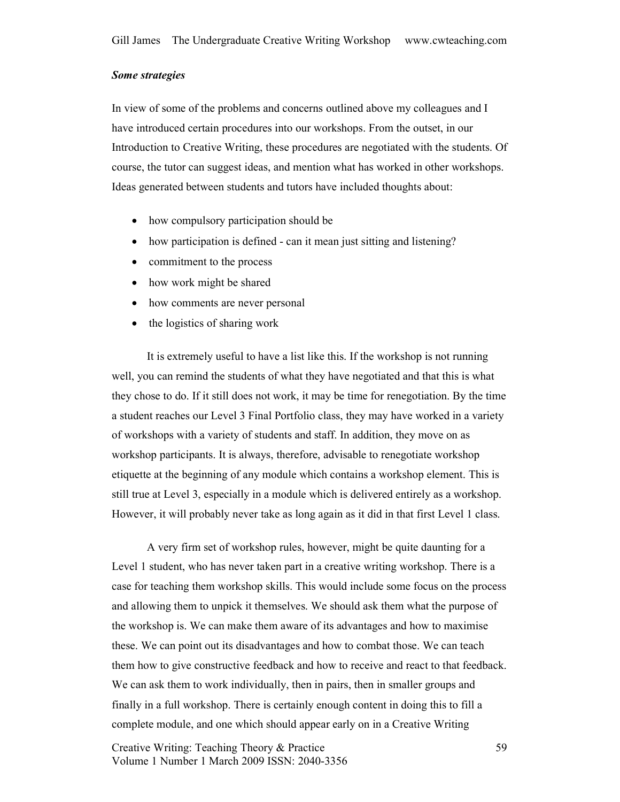# Some strategies

In view of some of the problems and concerns outlined above my colleagues and I have introduced certain procedures into our workshops. From the outset, in our Introduction to Creative Writing, these procedures are negotiated with the students. Of course, the tutor can suggest ideas, and mention what has worked in other workshops. Ideas generated between students and tutors have included thoughts about:

- how compulsory participation should be
- how participation is defined can it mean just sitting and listening?
- commitment to the process
- how work might be shared
- how comments are never personal
- the logistics of sharing work

It is extremely useful to have a list like this. If the workshop is not running well, you can remind the students of what they have negotiated and that this is what they chose to do. If it still does not work, it may be time for renegotiation. By the time a student reaches our Level 3 Final Portfolio class, they may have worked in a variety of workshops with a variety of students and staff. In addition, they move on as workshop participants. It is always, therefore, advisable to renegotiate workshop etiquette at the beginning of any module which contains a workshop element. This is still true at Level 3, especially in a module which is delivered entirely as a workshop. However, it will probably never take as long again as it did in that first Level 1 class.

A very firm set of workshop rules, however, might be quite daunting for a Level 1 student, who has never taken part in a creative writing workshop. There is a case for teaching them workshop skills. This would include some focus on the process and allowing them to unpick it themselves. We should ask them what the purpose of the workshop is. We can make them aware of its advantages and how to maximise these. We can point out its disadvantages and how to combat those. We can teach them how to give constructive feedback and how to receive and react to that feedback. We can ask them to work individually, then in pairs, then in smaller groups and finally in a full workshop. There is certainly enough content in doing this to fill a complete module, and one which should appear early on in a Creative Writing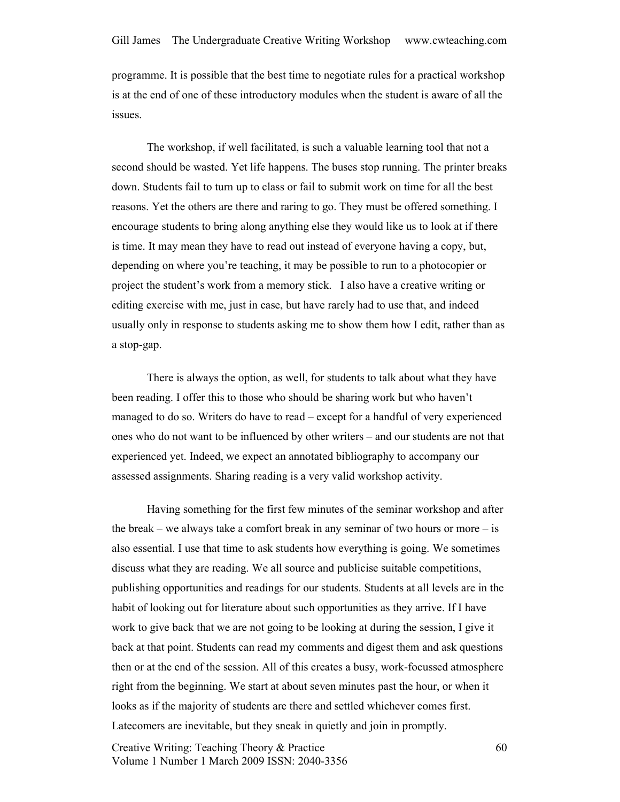programme. It is possible that the best time to negotiate rules for a practical workshop is at the end of one of these introductory modules when the student is aware of all the issues.

The workshop, if well facilitated, is such a valuable learning tool that not a second should be wasted. Yet life happens. The buses stop running. The printer breaks down. Students fail to turn up to class or fail to submit work on time for all the best reasons. Yet the others are there and raring to go. They must be offered something. I encourage students to bring along anything else they would like us to look at if there is time. It may mean they have to read out instead of everyone having a copy, but, depending on where you're teaching, it may be possible to run to a photocopier or project the student's work from a memory stick. I also have a creative writing or editing exercise with me, just in case, but have rarely had to use that, and indeed usually only in response to students asking me to show them how I edit, rather than as a stop-gap.

There is always the option, as well, for students to talk about what they have been reading. I offer this to those who should be sharing work but who haven't managed to do so. Writers do have to read – except for a handful of very experienced ones who do not want to be influenced by other writers – and our students are not that experienced yet. Indeed, we expect an annotated bibliography to accompany our assessed assignments. Sharing reading is a very valid workshop activity.

Having something for the first few minutes of the seminar workshop and after the break – we always take a comfort break in any seminar of two hours or more  $-$  is also essential. I use that time to ask students how everything is going. We sometimes discuss what they are reading. We all source and publicise suitable competitions, publishing opportunities and readings for our students. Students at all levels are in the habit of looking out for literature about such opportunities as they arrive. If I have work to give back that we are not going to be looking at during the session, I give it back at that point. Students can read my comments and digest them and ask questions then or at the end of the session. All of this creates a busy, work-focussed atmosphere right from the beginning. We start at about seven minutes past the hour, or when it looks as if the majority of students are there and settled whichever comes first. Latecomers are inevitable, but they sneak in quietly and join in promptly.

Creative Writing: Teaching Theory & Practice Volume 1 Number 1 March 2009 ISSN: 2040-3356

60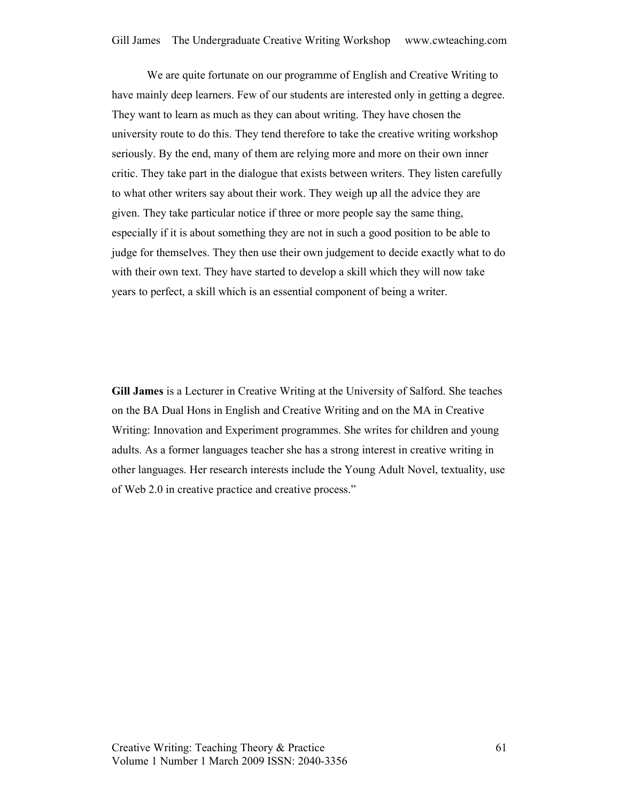We are quite fortunate on our programme of English and Creative Writing to have mainly deep learners. Few of our students are interested only in getting a degree. They want to learn as much as they can about writing. They have chosen the university route to do this. They tend therefore to take the creative writing workshop seriously. By the end, many of them are relying more and more on their own inner critic. They take part in the dialogue that exists between writers. They listen carefully to what other writers say about their work. They weigh up all the advice they are given. They take particular notice if three or more people say the same thing, especially if it is about something they are not in such a good position to be able to judge for themselves. They then use their own judgement to decide exactly what to do with their own text. They have started to develop a skill which they will now take years to perfect, a skill which is an essential component of being a writer.

Gill James is a Lecturer in Creative Writing at the University of Salford. She teaches on the BA Dual Hons in English and Creative Writing and on the MA in Creative Writing: Innovation and Experiment programmes. She writes for children and young adults. As a former languages teacher she has a strong interest in creative writing in other languages. Her research interests include the Young Adult Novel, textuality, use of Web 2.0 in creative practice and creative process."